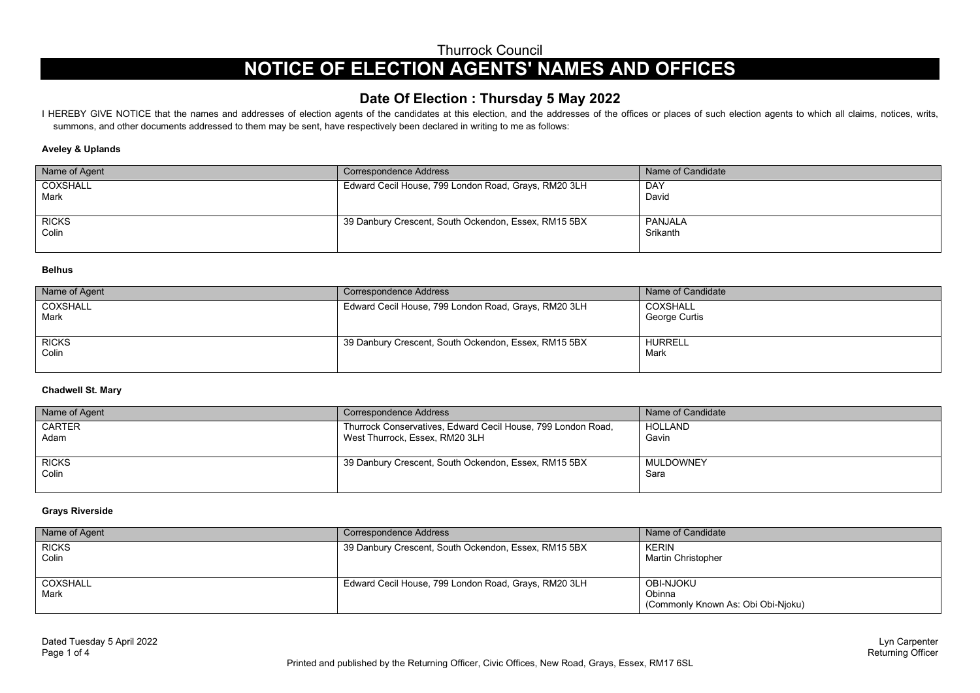Thurrock Council

# **NOTICE OF ELECTION AGENTS' NAMES AND OFFICES**

# **Date Of Election : Thursday 5 May 2022**

I HEREBY GIVE NOTICE that the names and addresses of election agents of the candidates at this election, and the addresses of the offices or places of such election agents to which all claims, notices, writs, summons, and other documents addressed to them may be sent, have respectively been declared in writing to me as follows:

#### **Aveley & Uplands**

| Name of Agent | Correspondence Address                               | Name of Candidate |
|---------------|------------------------------------------------------|-------------------|
| COXSHALL      | Edward Cecil House, 799 London Road, Grays, RM20 3LH | <b>DAY</b>        |
| <b>Mark</b>   |                                                      | David             |
|               |                                                      |                   |
| <b>RICKS</b>  | 39 Danbury Crescent, South Ockendon, Essex, RM15 5BX | PANJALA           |
| Colin         |                                                      | Srikanth          |
|               |                                                      |                   |

#### **Belhus**

| Name of Agent         | Correspondence Address                               | Name of Candidate         |
|-----------------------|------------------------------------------------------|---------------------------|
| COXSHALL<br>Mark      | Edward Cecil House, 799 London Road, Grays, RM20 3LH | COXSHALL<br>George Curtis |
| <b>RICKS</b><br>Colin | 39 Danbury Crescent, South Ockendon, Essex, RM15 5BX | <b>HURRELL</b><br>Mark    |

#### **Chadwell St. Mary**

| Name of Agent         | Correspondence Address                                                                         | Name of Candidate |
|-----------------------|------------------------------------------------------------------------------------------------|-------------------|
| <b>CARTER</b><br>Adam | Thurrock Conservatives, Edward Cecil House, 799 London Road,<br>West Thurrock, Essex, RM20 3LH | HOLLAND<br>Gavin  |
| <b>RICKS</b><br>Colin | 39 Danbury Crescent, South Ockendon, Essex, RM15 5BX                                           | MULDOWNEY<br>Sara |

#### **Grays Riverside**

| Name of Agent         | Correspondence Address                               | Name of Candidate                                         |
|-----------------------|------------------------------------------------------|-----------------------------------------------------------|
| <b>RICKS</b><br>Colin | 39 Danbury Crescent, South Ockendon, Essex, RM15 5BX | KERIN<br>Martin Christopher                               |
| COXSHALL<br>Mark      | Edward Cecil House, 799 London Road, Grays, RM20 3LH | OBI-NJOKU<br>Obinna<br>(Commonly Known As: Obi Obi-Njoku) |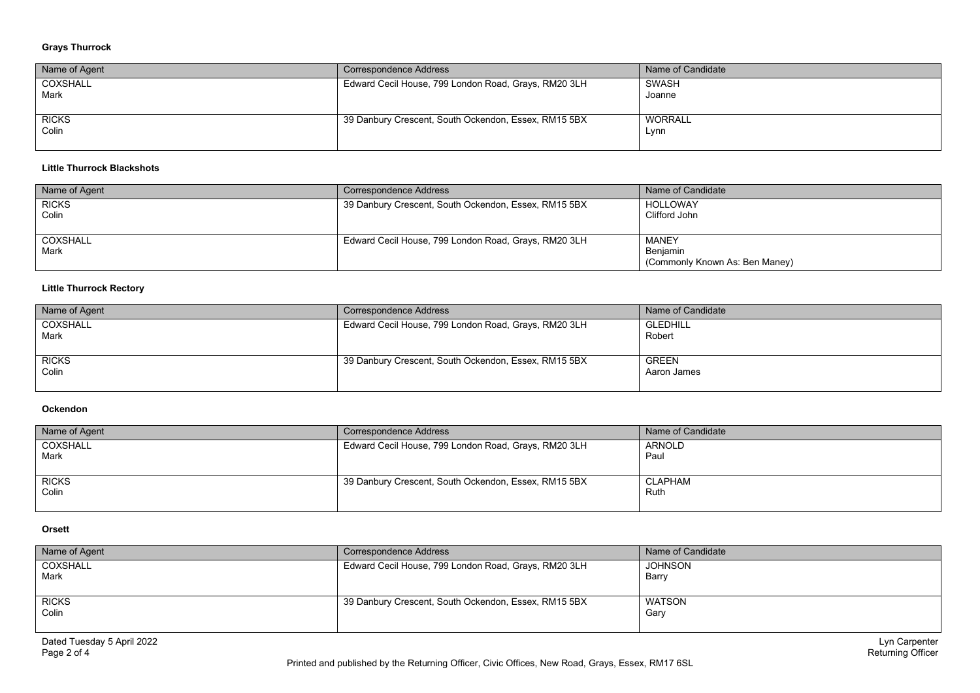# **Grays Thurrock**

| Name of Agent | Correspondence Address                               | Name of Candidate |
|---------------|------------------------------------------------------|-------------------|
| COXSHALL      | Edward Cecil House, 799 London Road, Grays, RM20 3LH | SWASH             |
| <b>Mark</b>   |                                                      | Joanne            |
|               |                                                      |                   |
| <b>RICKS</b>  | 39 Danbury Crescent, South Ockendon, Essex, RM15 5BX | WORRALL           |
| Colin         |                                                      | Lynn              |
|               |                                                      |                   |

#### **Little Thurrock Blackshots**

| Name of Agent         | Correspondence Address                               | Name of Candidate                                   |
|-----------------------|------------------------------------------------------|-----------------------------------------------------|
| <b>RICKS</b><br>Colin | 39 Danbury Crescent, South Ockendon, Essex, RM15 5BX | HOLLOWAY<br>Clifford John                           |
| COXSHALL<br>Mark      | Edward Cecil House, 799 London Road, Grays, RM20 3LH | MANEY<br>Benjamin<br>(Commonly Known As: Ben Maney) |

# **Little Thurrock Rectory**

| Name of Agent         | Correspondence Address                               | Name of Candidate           |
|-----------------------|------------------------------------------------------|-----------------------------|
| COXSHALL<br>Mark      | Edward Cecil House, 799 London Road, Grays, RM20 3LH | GLEDHILL<br>Robert          |
| <b>RICKS</b><br>Colin | 39 Danbury Crescent, South Ockendon, Essex, RM15 5BX | <b>GREEN</b><br>Aaron James |

#### **Ockendon**

| Name of Agent         | Correspondence Address                               | Name of Candidate      |
|-----------------------|------------------------------------------------------|------------------------|
| COXSHALL<br>Mark      | Edward Cecil House, 799 London Road, Grays, RM20 3LH | <b>ARNOLD</b><br>Paul  |
| <b>RICKS</b><br>Colin | 39 Danbury Crescent, South Ockendon, Essex, RM15 5BX | <b>CLAPHAM</b><br>Ruth |

# **Orsett**

| Name of Agent         | Correspondence Address                               | Name of Candidate       |
|-----------------------|------------------------------------------------------|-------------------------|
| COXSHALL<br>Mark      | Edward Cecil House, 799 London Road, Grays, RM20 3LH | <b>JOHNSON</b><br>Barry |
| <b>RICKS</b><br>Colin | 39 Danbury Crescent, South Ockendon, Essex, RM15 5BX | WATSON<br>Gary          |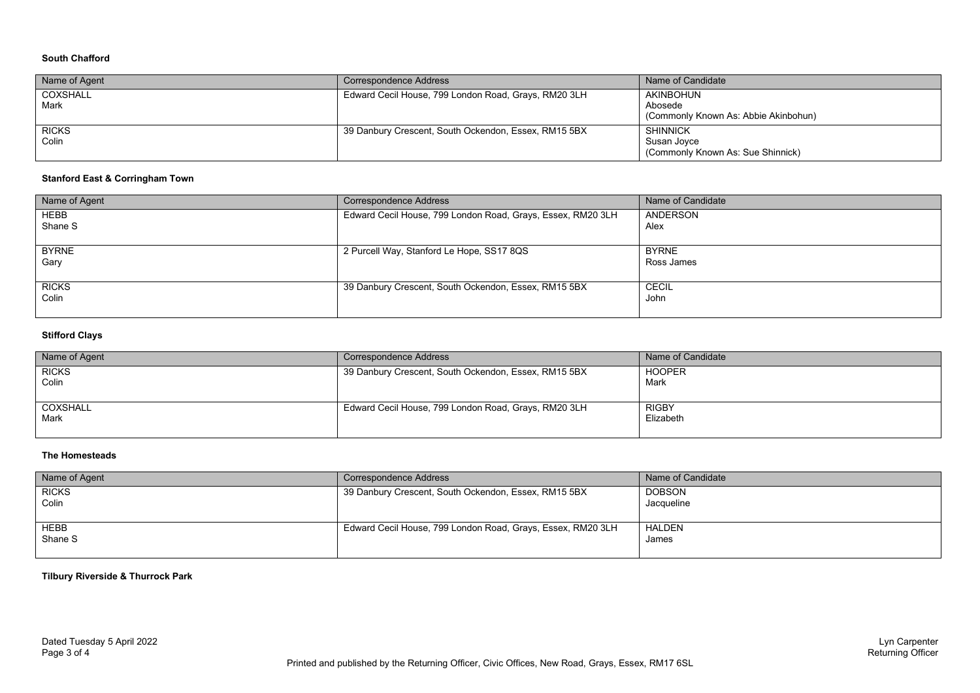#### **South Chafford**

| Name of Agent         | Correspondence Address                               | Name of Candidate                                                   |
|-----------------------|------------------------------------------------------|---------------------------------------------------------------------|
| COXSHALL<br>Mark      | Edward Cecil House, 799 London Road, Grays, RM20 3LH | AKINBOHUN<br>Abosede<br>(Commonly Known As: Abbie Akinbohun)        |
| <b>RICKS</b><br>Colin | 39 Danbury Crescent, South Ockendon, Essex, RM15 5BX | <b>SHINNICK</b><br>Susan Jovce<br>(Commonly Known As: Sue Shinnick) |

# **Stanford East & Corringham Town**

| Name of Agent          | <b>Correspondence Address</b>                               | Name of Candidate          |
|------------------------|-------------------------------------------------------------|----------------------------|
| <b>HEBB</b><br>Shane S | Edward Cecil House, 799 London Road, Grays, Essex, RM20 3LH | ANDERSON<br>Alex           |
| <b>BYRNE</b><br>Gary   | 2 Purcell Way, Stanford Le Hope, SS17 8QS                   | <b>BYRNE</b><br>Ross James |
| <b>RICKS</b><br>Colin  | 39 Danbury Crescent, South Ockendon, Essex, RM15 5BX        | <b>CECIL</b><br>John       |

# **Stifford Clays**

| Name of Agent | Correspondence Address                               | Name of Candidate |
|---------------|------------------------------------------------------|-------------------|
| <b>RICKS</b>  | 39 Danbury Crescent, South Ockendon, Essex, RM15 5BX | <b>HOOPER</b>     |
| Colin         |                                                      | Mark              |
|               |                                                      |                   |
| COXSHALL      | Edward Cecil House, 799 London Road, Grays, RM20 3LH | <b>RIGBY</b>      |
| Mark          |                                                      | Elizabeth         |
|               |                                                      |                   |

#### **The Homesteads**

| Name of Agent         | Correspondence Address                                      | Name of Candidate           |
|-----------------------|-------------------------------------------------------------|-----------------------------|
| <b>RICKS</b><br>Colin | 39 Danbury Crescent, South Ockendon, Essex, RM15 5BX        | <b>DOBSON</b><br>Jacqueline |
| HEBB<br>Shane S       | Edward Cecil House, 799 London Road, Grays, Essex, RM20 3LH | <b>HALDEN</b><br>James      |

#### **Tilbury Riverside & Thurrock Park**